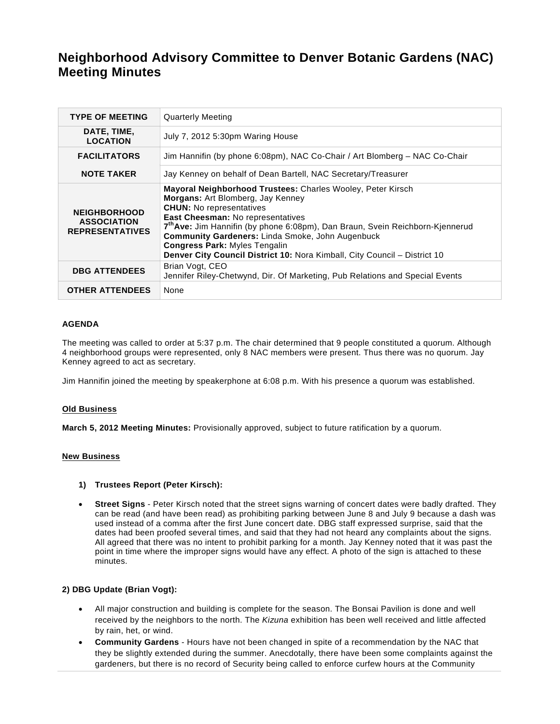# **Neighborhood Advisory Committee to Denver Botanic Gardens (NAC) Meeting Minutes**

| <b>TYPE OF MEETING</b>                                              | <b>Quarterly Meeting</b>                                                                                                                                                                                                                                                                                                                                                                                                                              |
|---------------------------------------------------------------------|-------------------------------------------------------------------------------------------------------------------------------------------------------------------------------------------------------------------------------------------------------------------------------------------------------------------------------------------------------------------------------------------------------------------------------------------------------|
| DATE, TIME,<br><b>LOCATION</b>                                      | July 7, 2012 5:30pm Waring House                                                                                                                                                                                                                                                                                                                                                                                                                      |
| <b>FACILITATORS</b>                                                 | Jim Hannifin (by phone 6:08pm), NAC Co-Chair / Art Blomberg - NAC Co-Chair                                                                                                                                                                                                                                                                                                                                                                            |
| <b>NOTE TAKER</b>                                                   | Jay Kenney on behalf of Dean Bartell, NAC Secretary/Treasurer                                                                                                                                                                                                                                                                                                                                                                                         |
| <b>NEIGHBORHOOD</b><br><b>ASSOCIATION</b><br><b>REPRESENTATIVES</b> | Mayoral Neighborhood Trustees: Charles Wooley, Peter Kirsch<br>Morgans: Art Blomberg, Jay Kenney<br><b>CHUN:</b> No representatives<br>East Cheesman: No representatives<br>7 <sup>th</sup> Ave: Jim Hannifin (by phone 6:08pm), Dan Braun, Svein Reichborn-Kjennerud<br><b>Community Gardeners: Linda Smoke, John Augenbuck</b><br><b>Congress Park: Myles Tengalin</b><br>Denver City Council District 10: Nora Kimball, City Council - District 10 |
| <b>DBG ATTENDEES</b>                                                | Brian Vogt, CEO<br>Jennifer Riley-Chetwynd, Dir. Of Marketing, Pub Relations and Special Events                                                                                                                                                                                                                                                                                                                                                       |
| <b>OTHER ATTENDEES</b>                                              | None                                                                                                                                                                                                                                                                                                                                                                                                                                                  |

## **AGENDA**

The meeting was called to order at 5:37 p.m. The chair determined that 9 people constituted a quorum. Although 4 neighborhood groups were represented, only 8 NAC members were present. Thus there was no quorum. Jay Kenney agreed to act as secretary.

Jim Hannifin joined the meeting by speakerphone at 6:08 p.m. With his presence a quorum was established.

#### **Old Business**

**March 5, 2012 Meeting Minutes:** Provisionally approved, subject to future ratification by a quorum.

#### **New Business**

#### **1) Trustees Report (Peter Kirsch):**

 **Street Signs** - Peter Kirsch noted that the street signs warning of concert dates were badly drafted. They can be read (and have been read) as prohibiting parking between June 8 and July 9 because a dash was used instead of a comma after the first June concert date. DBG staff expressed surprise, said that the dates had been proofed several times, and said that they had not heard any complaints about the signs. All agreed that there was no intent to prohibit parking for a month. Jay Kenney noted that it was past the point in time where the improper signs would have any effect. A photo of the sign is attached to these minutes.

### **2) DBG Update (Brian Vogt):**

- All major construction and building is complete for the season. The Bonsai Pavilion is done and well received by the neighbors to the north. The *Kizuna* exhibition has been well received and little affected by rain, het, or wind.
- **Community Gardens** Hours have not been changed in spite of a recommendation by the NAC that they be slightly extended during the summer. Anecdotally, there have been some complaints against the gardeners, but there is no record of Security being called to enforce curfew hours at the Community